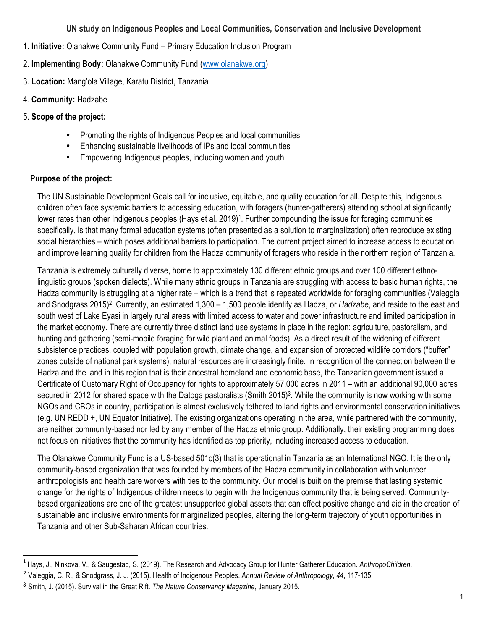#### **UN study on Indigenous Peoples and Local Communities, Conservation and Inclusive Development**

- 1. **Initiative:** Olanakwe Community Fund Primary Education Inclusion Program
- 2. **Implementing Body:** Olanakwe Community Fund (www.olanakwe.org)
- 3. **Location:** Mang'ola Village, Karatu District, Tanzania
- 4. **Community:** Hadzabe
- 5. **Scope of the project:**
	- Promoting the rights of Indigenous Peoples and local communities
	- Enhancing sustainable livelihoods of IPs and local communities
	- Empowering Indigenous peoples, including women and youth

# **Purpose of the project:**

<u> 1989 - Jan Samuel Barbara, margaret e</u>

The UN Sustainable Development Goals call for inclusive, equitable, and quality education for all. Despite this, Indigenous children often face systemic barriers to accessing education, with foragers (hunter-gatherers) attending school at significantly lower rates than other Indigenous peoples (Hays et al. 2019)<sup>1</sup>. Further compounding the issue for foraging communities specifically, is that many formal education systems (often presented as a solution to marginalization) often reproduce existing social hierarchies – which poses additional barriers to participation. The current project aimed to increase access to education and improve learning quality for children from the Hadza community of foragers who reside in the northern region of Tanzania.

Tanzania is extremely culturally diverse, home to approximately 130 different ethnic groups and over 100 different ethnolinguistic groups (spoken dialects). While many ethnic groups in Tanzania are struggling with access to basic human rights, the Hadza community is struggling at a higher rate – which is a trend that is repeated worldwide for foraging communities (Valeggia and Snodgrass 2015)2. Currently, an estimated 1,300 – 1,500 people identify as Hadza, or *Hadzabe*, and reside to the east and south west of Lake Eyasi in largely rural areas with limited access to water and power infrastructure and limited participation in the market economy. There are currently three distinct land use systems in place in the region: agriculture, pastoralism, and hunting and gathering (semi-mobile foraging for wild plant and animal foods). As a direct result of the widening of different subsistence practices, coupled with population growth, climate change, and expansion of protected wildlife corridors ("buffer" zones outside of national park systems), natural resources are increasingly finite. In recognition of the connection between the Hadza and the land in this region that is their ancestral homeland and economic base, the Tanzanian government issued a Certificate of Customary Right of Occupancy for rights to approximately 57,000 acres in 2011 – with an additional 90,000 acres secured in 2012 for shared space with the Datoga pastoralists (Smith 2015)<sup>3</sup>. While the community is now working with some NGOs and CBOs in country, participation is almost exclusively tethered to land rights and environmental conservation initiatives (e.g. UN REDD +, UN Equator Initiative). The existing organizations operating in the area, while partnered with the community, are neither community-based nor led by any member of the Hadza ethnic group. Additionally, their existing programming does not focus on initiatives that the community has identified as top priority, including increased access to education.

The Olanakwe Community Fund is a US-based 501c(3) that is operational in Tanzania as an International NGO. It is the only community-based organization that was founded by members of the Hadza community in collaboration with volunteer anthropologists and health care workers with ties to the community. Our model is built on the premise that lasting systemic change for the rights of Indigenous children needs to begin with the Indigenous community that is being served. Communitybased organizations are one of the greatest unsupported global assets that can effect positive change and aid in the creation of sustainable and inclusive environments for marginalized peoples, altering the long-term trajectory of youth opportunities in Tanzania and other Sub-Saharan African countries.

<sup>1</sup> Hays, J., Ninkova, V., & Saugestad, S. (2019). The Research and Advocacy Group for Hunter Gatherer Education. *AnthropoChildren*.

<sup>2</sup> Valeggia, C. R., & Snodgrass, J. J. (2015). Health of Indigenous Peoples. *Annual Review of Anthropology*, *44*, 117-135.

<sup>3</sup> Smith, J. (2015). Survival in the Great Rift. *The Nature Conservancy Magazine*, January 2015.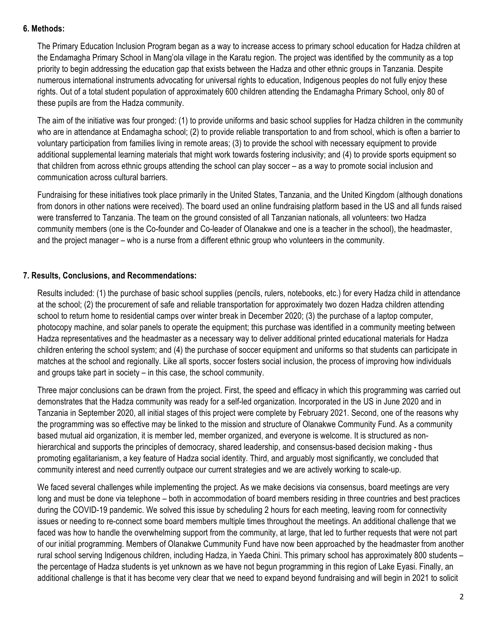## **6. Methods:**

The Primary Education Inclusion Program began as a way to increase access to primary school education for Hadza children at the Endamagha Primary School in Mang'ola village in the Karatu region. The project was identified by the community as a top priority to begin addressing the education gap that exists between the Hadza and other ethnic groups in Tanzania. Despite numerous international instruments advocating for universal rights to education, Indigenous peoples do not fully enjoy these rights. Out of a total student population of approximately 600 children attending the Endamagha Primary School, only 80 of these pupils are from the Hadza community.

The aim of the initiative was four pronged: (1) to provide uniforms and basic school supplies for Hadza children in the community who are in attendance at Endamagha school; (2) to provide reliable transportation to and from school, which is often a barrier to voluntary participation from families living in remote areas; (3) to provide the school with necessary equipment to provide additional supplemental learning materials that might work towards fostering inclusivity; and (4) to provide sports equipment so that children from across ethnic groups attending the school can play soccer – as a way to promote social inclusion and communication across cultural barriers.

Fundraising for these initiatives took place primarily in the United States, Tanzania, and the United Kingdom (although donations from donors in other nations were received). The board used an online fundraising platform based in the US and all funds raised were transferred to Tanzania. The team on the ground consisted of all Tanzanian nationals, all volunteers: two Hadza community members (one is the Co-founder and Co-leader of Olanakwe and one is a teacher in the school), the headmaster, and the project manager – who is a nurse from a different ethnic group who volunteers in the community.

## **7. Results, Conclusions, and Recommendations:**

Results included: (1) the purchase of basic school supplies (pencils, rulers, notebooks, etc.) for every Hadza child in attendance at the school; (2) the procurement of safe and reliable transportation for approximately two dozen Hadza children attending school to return home to residential camps over winter break in December 2020; (3) the purchase of a laptop computer, photocopy machine, and solar panels to operate the equipment; this purchase was identified in a community meeting between Hadza representatives and the headmaster as a necessary way to deliver additional printed educational materials for Hadza children entering the school system; and (4) the purchase of soccer equipment and uniforms so that students can participate in matches at the school and regionally. Like all sports, soccer fosters social inclusion, the process of improving how individuals and groups take part in society – in this case, the school community.

Three major conclusions can be drawn from the project. First, the speed and efficacy in which this programming was carried out demonstrates that the Hadza community was ready for a self-led organization. Incorporated in the US in June 2020 and in Tanzania in September 2020, all initial stages of this project were complete by February 2021. Second, one of the reasons why the programming was so effective may be linked to the mission and structure of Olanakwe Community Fund. As a community based mutual aid organization, it is member led, member organized, and everyone is welcome. It is structured as nonhierarchical and supports the principles of democracy, shared leadership, and consensus-based decision making - thus promoting egalitarianism, a key feature of Hadza social identity. Third, and arguably most significantly, we concluded that community interest and need currently outpace our current strategies and we are actively working to scale-up.

We faced several challenges while implementing the project. As we make decisions via consensus, board meetings are very long and must be done via telephone – both in accommodation of board members residing in three countries and best practices during the COVID-19 pandemic. We solved this issue by scheduling 2 hours for each meeting, leaving room for connectivity issues or needing to re-connect some board members multiple times throughout the meetings. An additional challenge that we faced was how to handle the overwhelming support from the community, at large, that led to further requests that were not part of our initial programming. Members of Olanakwe Cummunity Fund have now been approached by the headmaster from another rural school serving Indigenous children, including Hadza, in Yaeda Chini. This primary school has approximately 800 students – the percentage of Hadza students is yet unknown as we have not begun programming in this region of Lake Eyasi. Finally, an additional challenge is that it has become very clear that we need to expand beyond fundraising and will begin in 2021 to solicit